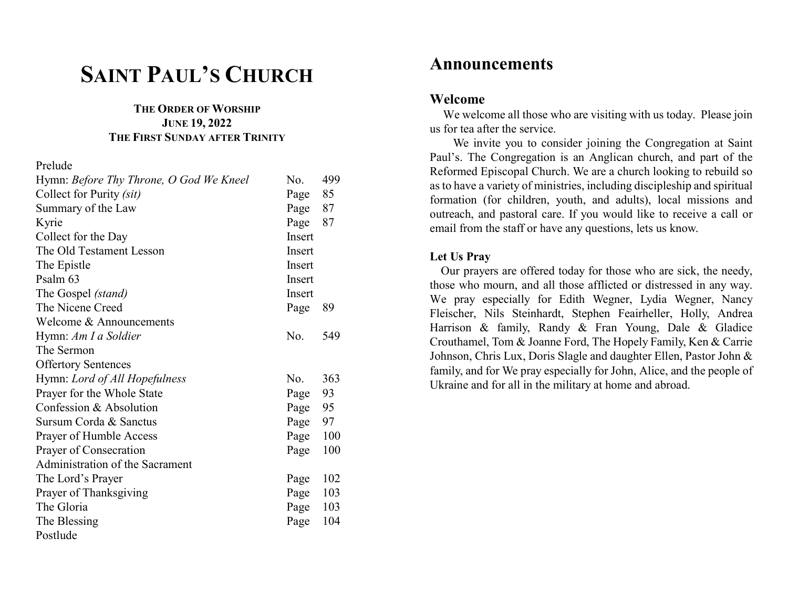# SAINT PAUL'S CHURCH

### THE ORDER OF WORSHIP JUNE 19, 2022 THE FIRST SUNDAY AFTER TRINITY

#### Prelude

| Hymn: Before Thy Throne, O God We Kneel | No.      | 499 |
|-----------------------------------------|----------|-----|
| Collect for Purity (sit)                | Page     | 85  |
| Summary of the Law                      | Page 87  |     |
| Kyrie                                   | Page 87  |     |
| Collect for the Day                     | Insert   |     |
| The Old Testament Lesson                | Insert   |     |
| The Epistle                             | Insert   |     |
| Psalm 63                                | Insert   |     |
| The Gospel (stand)                      | Insert   |     |
| The Nicene Creed                        | Page     | 89  |
| Welcome & Announcements                 |          |     |
| Hymn: Am I a Soldier                    | No.      | 549 |
| The Sermon                              |          |     |
| <b>Offertory Sentences</b>              |          |     |
| Hymn: Lord of All Hopefulness           | No.      | 363 |
| Prayer for the Whole State              | Page     | 93  |
| Confession & Absolution                 | Page 95  |     |
| Sursum Corda & Sanctus                  | Page 97  |     |
| Prayer of Humble Access                 | Page 100 |     |
| Prayer of Consecration                  | Page     | 100 |
| Administration of the Sacrament         |          |     |
| The Lord's Prayer                       | Page     | 102 |
| Prayer of Thanksgiving                  | Page 103 |     |
| The Gloria                              | Page 103 |     |
| The Blessing                            | Page     | 104 |
| Postlude                                |          |     |

# Announcements

## Welcome

 We welcome all those who are visiting with us today. Please join us for tea after the service.

 We invite you to consider joining the Congregation at Saint Paul's. The Congregation is an Anglican church, and part of the Reformed Episcopal Church. We are a church looking to rebuild so as to have a variety of ministries, including discipleship and spiritual formation (for children, youth, and adults), local missions and outreach, and pastoral care. If you would like to receive a call or email from the staff or have any questions, lets us know.

### Let Us Pray

 Our prayers are offered today for those who are sick, the needy, those who mourn, and all those afflicted or distressed in any way. We pray especially for Edith Wegner, Lydia Wegner, Nancy Fleischer, Nils Steinhardt, Stephen Feairheller, Holly, Andrea Harrison & family, Randy & Fran Young, Dale & Gladice Crouthamel, Tom & Joanne Ford, The Hopely Family, Ken & Carrie Johnson, Chris Lux, Doris Slagle and daughter Ellen, Pastor John & family, and for We pray especially for John, Alice, and the people of Ukraine and for all in the military at home and abroad.